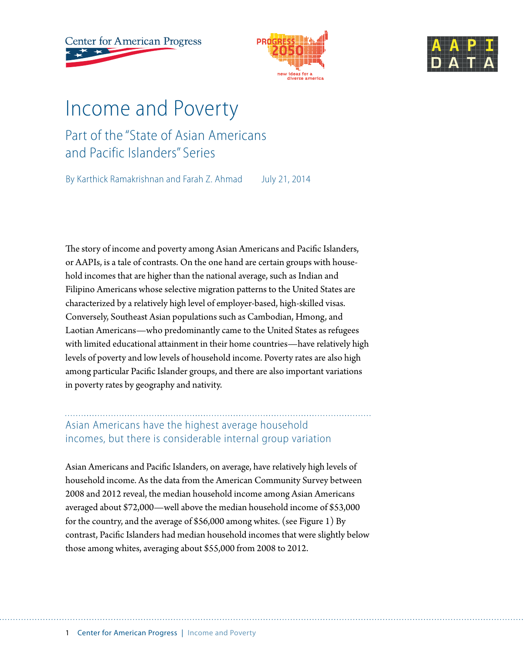**Center for American Progress** 





# Income and Poverty

# Part of the "State of Asian Americans and Pacific Islanders" Series

By Karthick Ramakrishnan and Farah Z. Ahmad July 21, 2014

The story of income and poverty among Asian Americans and Pacific Islanders, or AAPIs, is a tale of contrasts. On the one hand are certain groups with household incomes that are higher than the national average, such as Indian and Filipino Americans whose selective migration patterns to the United States are characterized by a relatively high level of employer-based, high-skilled visas. Conversely, Southeast Asian populations such as Cambodian, Hmong, and Laotian Americans—who predominantly came to the United States as refugees with limited educational attainment in their home countries—have relatively high levels of poverty and low levels of household income. Poverty rates are also high among particular Pacific Islander groups, and there are also important variations in poverty rates by geography and nativity.

## Asian Americans have the highest average household incomes, but there is considerable internal group variation

Asian Americans and Pacific Islanders, on average, have relatively high levels of household income. As the data from the American Community Survey between 2008 and 2012 reveal, the median household income among Asian Americans averaged about \$72,000—well above the median household income of \$53,000 for the country, and the average of \$56,000 among whites. (see Figure 1) By contrast, Pacific Islanders had median household incomes that were slightly below those among whites, averaging about \$55,000 from 2008 to 2012.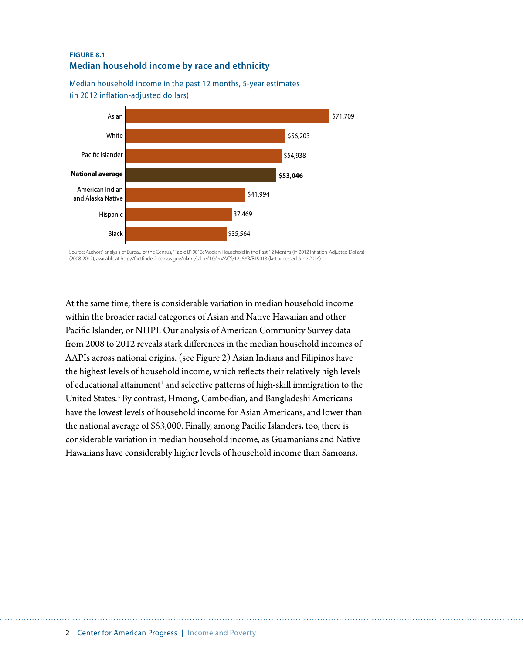#### **FIGURE 8.1 Median household income by race and ethnicity**

Median household income in the past 12 months, 5-year estimates (in 2012 inflation-adjusted dollars)



Source: Authors' analysis of Bureau of the Census, "Table B19013: Median Household in the Past 12 Months (in 2012 Inflation-Adjusted Dollars) (2008-2012), available at http://factfinder2.census.gov/bkmk/table/1.0/en/ACS/12\_5YR/B19013 (last accessed June 2014).

At the same time, there is considerable variation in median household income within the broader racial categories of Asian and Native Hawaiian and other Pacific Islander, or NHPI. Our analysis of American Community Survey data from 2008 to 2012 reveals stark differences in the median household incomes of AAPIs across national origins. (see Figure 2) Asian Indians and Filipinos have the highest levels of household income, which reflects their relatively high levels of educational attainment<sup>1</sup> and selective patterns of high-skill immigration to the United States.<sup>2</sup> By contrast, Hmong, Cambodian, and Bangladeshi Americans have the lowest levels of household income for Asian Americans, and lower than the national average of \$53,000. Finally, among Pacific Islanders, too, there is considerable variation in median household income, as Guamanians and Native Hawaiians have considerably higher levels of household income than Samoans.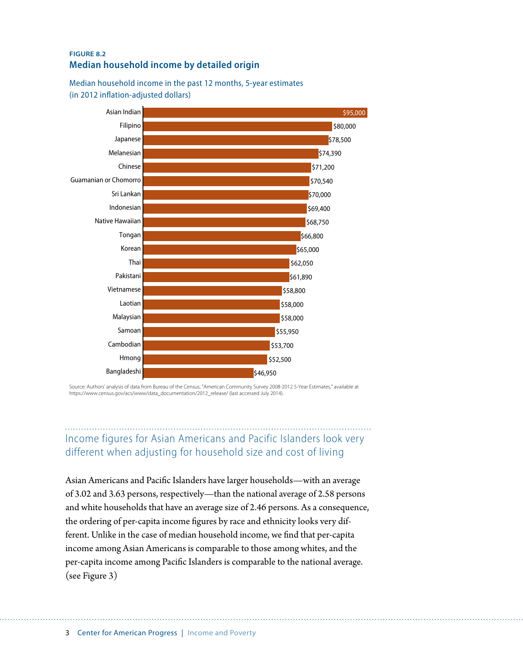#### **FIGURE 8.2 Median household income by detailed origin**

Median household income in the past 12 months, 5-year estimates (in 2012 inflation-adjusted dollars)



Source: Authors' analysis of data from Bureau of the Census, "American Community Survey 2008-2012 5-Year Estimates," available at https://www.census.gov/acs/www/data\_documentation/2012\_release/ (last accessed July 2014).

# Income figures for Asian Americans and Pacific Islanders look very different when adjusting for household size and cost of living

Asian Americans and Pacific Islanders have larger households—with an average of 3.02 and 3.63 persons, respectively—than the national average of 2.58 persons and white households that have an average size of 2.46 persons. As a consequence, the ordering of per-capita income figures by race and ethnicity looks very different. Unlike in the case of median household income, we find that per-capita income among Asian Americans is comparable to those among whites, and the per-capita income among Pacific Islanders is comparable to the national average. (see Figure 3)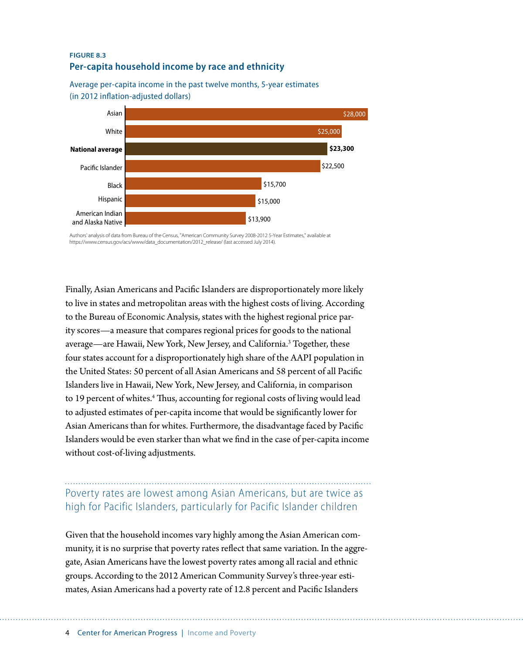#### **FIGURE 8.3 Per-capita household income by race and ethnicity**

Average per-capita income in the past twelve months, 5-year estimates (in 2012 inflation-adjusted dollars)



Authors' analysis of data from Bureau of the Census, "American Community Survey 2008-2012 5-Year Estimates," available at https://www.census.gov/acs/www/data\_documentation/2012\_release/ (last accessed July 2014).

Finally, Asian Americans and Pacific Islanders are disproportionately more likely to live in states and metropolitan areas with the highest costs of living. According to the Bureau of Economic Analysis, states with the highest regional price parity scores—a measure that compares regional prices for goods to the national average—are Hawaii, New York, New Jersey, and California.3 Together, these four states account for a disproportionately high share of the AAPI population in the United States: 50 percent of all Asian Americans and 58 percent of all Pacific Islanders live in Hawaii, New York, New Jersey, and California, in comparison to 19 percent of whites.<sup>4</sup> Thus, accounting for regional costs of living would lead to adjusted estimates of per-capita income that would be significantly lower for Asian Americans than for whites. Furthermore, the disadvantage faced by Pacific Islanders would be even starker than what we find in the case of per-capita income without cost-of-living adjustments.

## Poverty rates are lowest among Asian Americans, but are twice as high for Pacific Islanders, particularly for Pacific Islander children

Given that the household incomes vary highly among the Asian American community, it is no surprise that poverty rates reflect that same variation. In the aggregate, Asian Americans have the lowest poverty rates among all racial and ethnic groups. According to the 2012 American Community Survey's three-year estimates, Asian Americans had a poverty rate of 12.8 percent and Pacific Islanders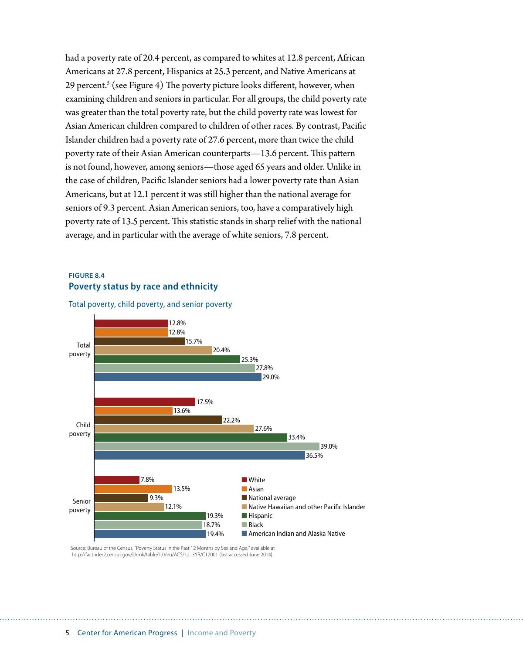had a poverty rate of 20.4 percent, as compared to whites at 12.8 percent, African Americans at 27.8 percent, Hispanics at 25.3 percent, and Native Americans at 29 percent.<sup>s</sup> (see Figure 4) The poverty picture looks different, however, when examining children and seniors in particular. For all groups, the child poverty rate was greater than the total poverty rate, but the child poverty rate was lowest for Asian American children compared to children of other races. By contrast, Pacific Islander children had a poverty rate of 27.6 percent, more than twice the child poverty rate of their Asian American counterparts—13.6 percent. This pattern is not found, however, among seniors—those aged 65 years and older. Unlike in the case of children, Pacific Islander seniors had a lower poverty rate than Asian Americans, but at 12.1 percent it was still higher than the national average for seniors of 9.3 percent. Asian American seniors, too, have a comparatively high poverty rate of 13.5 percent. This statistic stands in sharp relief with the national average, and in particular with the average of white seniors, 7.8 percent.

#### **FIGURE 8.4 Poverty status by race and ethnicity**



Total poverty, child poverty, and senior poverty

Source: Bureau of the Census, "Poverty Status in the Past 12 Months by Sex and Age," available at http://factnder2.census.gov/bkmk/table/1.0/en/ACS/12\_3YR/C17001 (last accessed June 2014).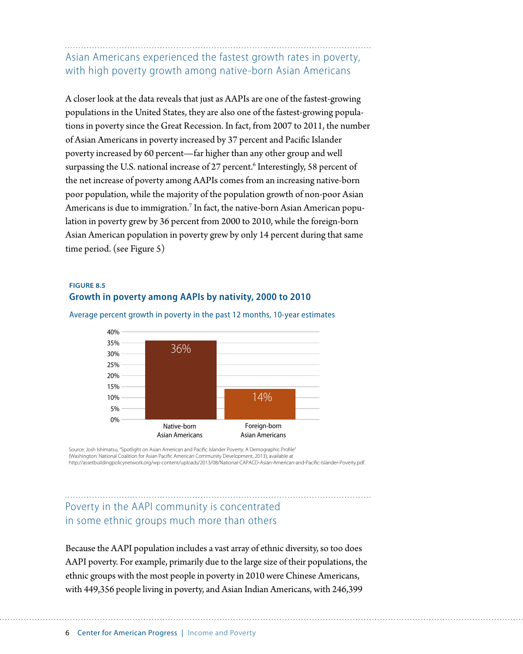Asian Americans experienced the fastest growth rates in poverty, with high poverty growth among native-born Asian Americans

A closer look at the data reveals that just as AAPIs are one of the fastest-growing populations in the United States, they are also one of the fastest-growing populations in poverty since the Great Recession. In fact, from 2007 to 2011, the number of Asian Americans in poverty increased by 37 percent and Pacific Islander poverty increased by 60 percent—far higher than any other group and well surpassing the U.S. national increase of 27 percent.<sup>6</sup> Interestingly, 58 percent of the net increase of poverty among AAPIs comes from an increasing native-born poor population, while the majority of the population growth of non-poor Asian Americans is due to immigration. $^7$  In fact, the native-born Asian American population in poverty grew by 36 percent from 2000 to 2010, while the foreign-born Asian American population in poverty grew by only 14 percent during that same time period. (see Figure 5)

#### **FIGURE 8.5 Growth in poverty among AAPIs by nativity, 2000 to 2010**



Average percent growth in poverty in the past 12 months, 10-year estimates

Source: Josh Ishimatsu, "Spotlight on Asian American and Pacific Islander Poverty: A Demographic Profile' (Washington: National Coalition for Asian Pacific American Community Development, 2013), available at http://assetbuildingpolicynetwork.org/wp-content/uploads/2013/08/National-CAPACD-Asian-American-and-Pacific-Islander-Poverty.pdf.

### Poverty in the AAPI community is concentrated in some ethnic groups much more than others

Because the AAPI population includes a vast array of ethnic diversity, so too does AAPI poverty. For example, primarily due to the large size of their populations, the ethnic groups with the most people in poverty in 2010 were Chinese Americans, with 449,356 people living in poverty, and Asian Indian Americans, with 246,399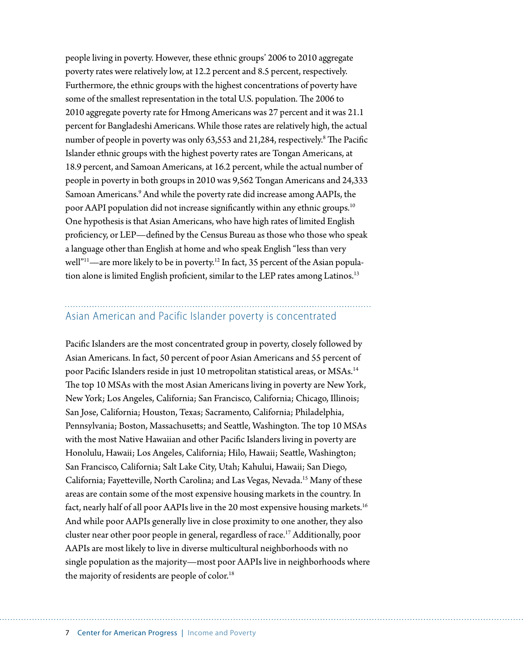people living in poverty. However, these ethnic groups' 2006 to 2010 aggregate poverty rates were relatively low, at 12.2 percent and 8.5 percent, respectively. Furthermore, the ethnic groups with the highest concentrations of poverty have some of the smallest representation in the total U.S. population. The 2006 to 2010 aggregate poverty rate for Hmong Americans was 27 percent and it was 21.1 percent for Bangladeshi Americans. While those rates are relatively high, the actual number of people in poverty was only 63,553 and 21,284, respectively.<sup>8</sup> The Pacific Islander ethnic groups with the highest poverty rates are Tongan Americans, at 18.9 percent, and Samoan Americans, at 16.2 percent, while the actual number of people in poverty in both groups in 2010 was 9,562 Tongan Americans and 24,333 Samoan Americans.<sup>9</sup> And while the poverty rate did increase among AAPIs, the poor AAPI population did not increase significantly within any ethnic groups.<sup>10</sup> One hypothesis is that Asian Americans, who have high rates of limited English proficiency, or LEP—defined by the Census Bureau as those who those who speak a language other than English at home and who speak English "less than very well"<sup>11</sup>—are more likely to be in poverty.<sup>12</sup> In fact, 35 percent of the Asian population alone is limited English proficient, similar to the LEP rates among Latinos.<sup>13</sup>

### Asian American and Pacific Islander poverty is concentrated

Pacific Islanders are the most concentrated group in poverty, closely followed by Asian Americans. In fact, 50 percent of poor Asian Americans and 55 percent of poor Pacific Islanders reside in just 10 metropolitan statistical areas, or MSAs.<sup>14</sup> The top 10 MSAs with the most Asian Americans living in poverty are New York, New York; Los Angeles, California; San Francisco, California; Chicago, Illinois; San Jose, California; Houston, Texas; Sacramento, California; Philadelphia, Pennsylvania; Boston, Massachusetts; and Seattle, Washington. The top 10 MSAs with the most Native Hawaiian and other Pacific Islanders living in poverty are Honolulu, Hawaii; Los Angeles, California; Hilo, Hawaii; Seattle, Washington; San Francisco, California; Salt Lake City, Utah; Kahului, Hawaii; San Diego, California; Fayetteville, North Carolina; and Las Vegas, Nevada.15 Many of these areas are contain some of the most expensive housing markets in the country. In fact, nearly half of all poor AAPIs live in the 20 most expensive housing markets.<sup>16</sup> And while poor AAPIs generally live in close proximity to one another, they also cluster near other poor people in general, regardless of race.<sup>17</sup> Additionally, poor AAPIs are most likely to live in diverse multicultural neighborhoods with no single population as the majority—most poor AAPIs live in neighborhoods where the majority of residents are people of color.<sup>18</sup>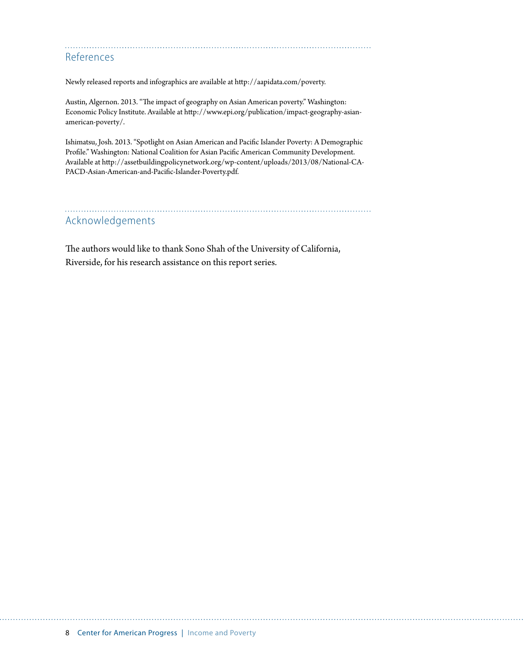### References

Newly released reports and infographics are available at <http://aapidata.com/poverty>.

Austin, Algernon. 2013. "The impact of geography on Asian American poverty." Washington: Economic Policy Institute. Available at [http://www.epi.org/publication/impact-geography-asian](http://www.epi.org/publication/impact-geography-asian-american-poverty/)[american-poverty/.](http://www.epi.org/publication/impact-geography-asian-american-poverty/)

Ishimatsu, Josh. 2013. "Spotlight on Asian American and Pacific Islander Poverty: A Demographic Profile." Washington: National Coalition for Asian Pacific American Community Development. Available at [http://assetbuildingpolicynetwork.org/wp-content/uploads/2013/08/National-CA-](http://assetbuildingpolicynetwork.org/wp-content/uploads/2013/08/National-CAPACD-Asian-American-and-Pacific-Islander-Poverty.pdf)[PACD-Asian-American-and-Pacific-Islander-Poverty.pdf](http://assetbuildingpolicynetwork.org/wp-content/uploads/2013/08/National-CAPACD-Asian-American-and-Pacific-Islander-Poverty.pdf).

#### Acknowledgements

The authors would like to thank Sono Shah of the University of California, Riverside, for his research assistance on this report series.